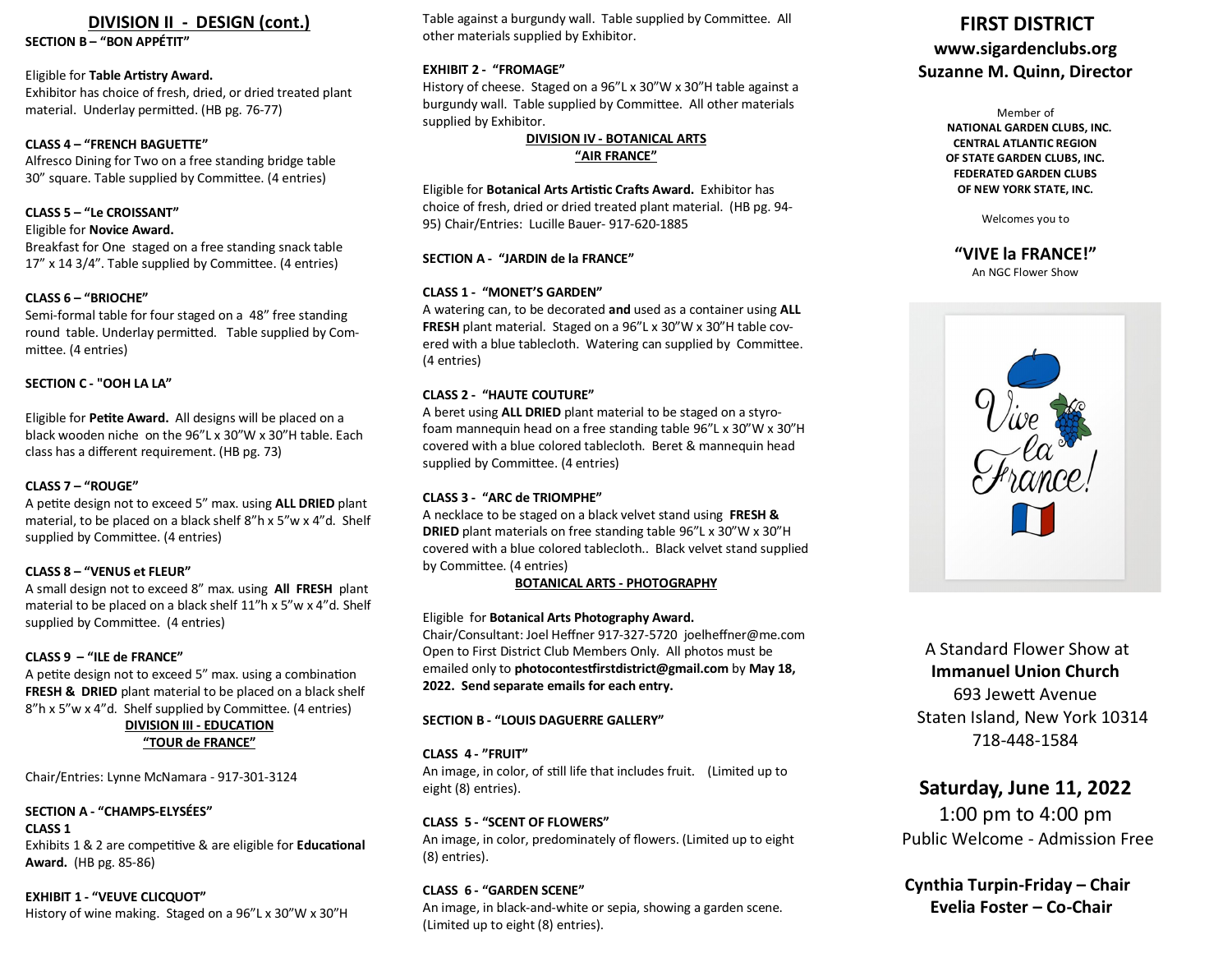# **DIVISION II - DESIGN (cont.)**

**SECTION B – "BON APPÉTIT"**

#### Eligible for **Table Artistry Award.**

Exhibitor has choice of fresh, dried, or dried treated plant material. Underlay permitted. (HB pg. 76-77)

#### **CLASS 4 – "FRENCH BAGUETTE"**

Alfresco Dining for Two on a free standing bridge table 30" square. Table supplied by Committee. (4 entries)

## **CLASS 5 – "Le CROISSANT"**

#### Eligible for **Novice Award.**

Breakfast for One staged on a free standing snack table 17" x 14 3/4". Table supplied by Committee. (4 entries)

#### **CLASS 6 – "BRIOCHE"**

Semi-formal table for four staged on a 48" free standing round table. Underlay permitted. Table supplied by Committee. (4 entries)

#### **SECTION C - "OOH LA LA"**

Eligible for **Petite Award.** All designs will be placed on a black wooden niche on the 96"L x 30"W x 30"H table. Each class has a different requirement. (HB pg. 73)

#### **CLASS 7 – "ROUGE"**

A petite design not to exceed 5" max. using **ALL DRIED** plant material, to be placed on a black shelf 8"h x 5"w x 4"d. Shelf supplied by Committee. (4 entries)

#### **CLASS 8 – "VENUS et FLEUR"**

A small design not to exceed 8" max. using **All FRESH** plant material to be placed on a black shelf 11"h x 5"w x 4"d. Shelf supplied by Committee. (4 entries)

#### **CLASS 9 – "ILE de FRANCE"**

A petite design not to exceed 5" max. using a combination **FRESH & DRIED** plant material to be placed on a black shelf 8"h x 5"w x 4"d. Shelf supplied by Committee. (4 entries)

# **DIVISION III - EDUCATION "TOUR de FRANCE"**

Chair/Entries: Lynne McNamara - 917-301-3124

#### **SECTION A - "CHAMPS-ELYSÉES"**

**CLASS 1** Exhibits 1 & 2 are competitive & are eligible for **Educational Award.** (HB pg. 85-86)

## **EXHIBIT 1 - "VEUVE CLICQUOT"** History of wine making. Staged on a 96"L x 30"W x 30"H

Table against a burgundy wall. Table supplied by Committee. All other materials supplied by Exhibitor.

#### **EXHIBIT 2 - "FROMAGE"**

History of cheese. Staged on a 96"L x 30"W x 30"H table against a burgundy wall. Table supplied by Committee. All other materials supplied by Exhibitor.

#### **DIVISION IV - BOTANICAL ARTS "AIR FRANCE"**

Eligible for **Botanical Arts Artistic Crafts Award.** Exhibitor has choice of fresh, dried or dried treated plant material. (HB pg. 94- 95) Chair/Entries: Lucille Bauer- 917-620-1885

#### **SECTION A - "JARDIN de la FRANCE"**

#### **CLASS 1 - "MONET'S GARDEN"**

A watering can, to be decorated **and** used as a container using **ALL FRESH** plant material. Staged on a 96"L x 30"W x 30"H table covered with a blue tablecloth. Watering can supplied by Committee. (4 entries)

#### **CLASS 2 - "HAUTE COUTURE"**

A beret using **ALL DRIED** plant material to be staged on a styrofoam mannequin head on a free standing table 96"L x 30"W x 30"H covered with a blue colored tablecloth. Beret & mannequin head supplied by Committee. (4 entries)

#### **CLASS 3 - "ARC de TRIOMPHE"**

A necklace to be staged on a black velvet stand using **FRESH & DRIED** plant materials on free standing table 96"L x 30"W x 30"H covered with a blue colored tablecloth.. Black velvet stand supplied by Committee. (4 entries)

#### **BOTANICAL ARTS - PHOTOGRAPHY**

#### Eligible for **Botanical Arts Photography Award.**

Chair/Consultant: Joel Heffner 917-327-5720 joelheffner@me.com Open to First District Club Members Only. All photos must be emailed only to **photocontestfirstdistrict@gmail.com** by **May 18, 2022. Send separate emails for each entry.**

#### **SECTION B - "LOUIS DAGUERRE GALLERY"**

#### **CLASS 4 - "FRUIT"**

An image, in color, of still life that includes fruit. (Limited up to eight (8) entries).

#### **CLASS 5 - "SCENT OF FLOWERS"**

An image, in color, predominately of flowers. (Limited up to eight (8) entries).

#### **CLASS 6 - "GARDEN SCENE"**

An image, in black-and-white or sepia, showing a garden scene. (Limited up to eight (8) entries).

# **FIRST DISTRICT www.sigardenclubs.org Suzanne M. Quinn, Director**

Member of  **NATIONAL GARDEN CLUBS, INC. CENTRAL ATLANTIC REGION OF STATE GARDEN CLUBS, INC. FEDERATED GARDEN CLUBS OF NEW YORK STATE, INC.**

Welcomes you to

**"VIVE la FRANCE!"** An NGC Flower Show



A Standard Flower Show at **Immanuel Union Church** 693 Jewett Avenue Staten Island, New York 10314 718-448-1584

# **Saturday, June 11, 2022**

1:00 pm to 4:00 pm Public Welcome - Admission Free

 **Cynthia Turpin-Friday – Chair Evelia Foster – Co-Chair**